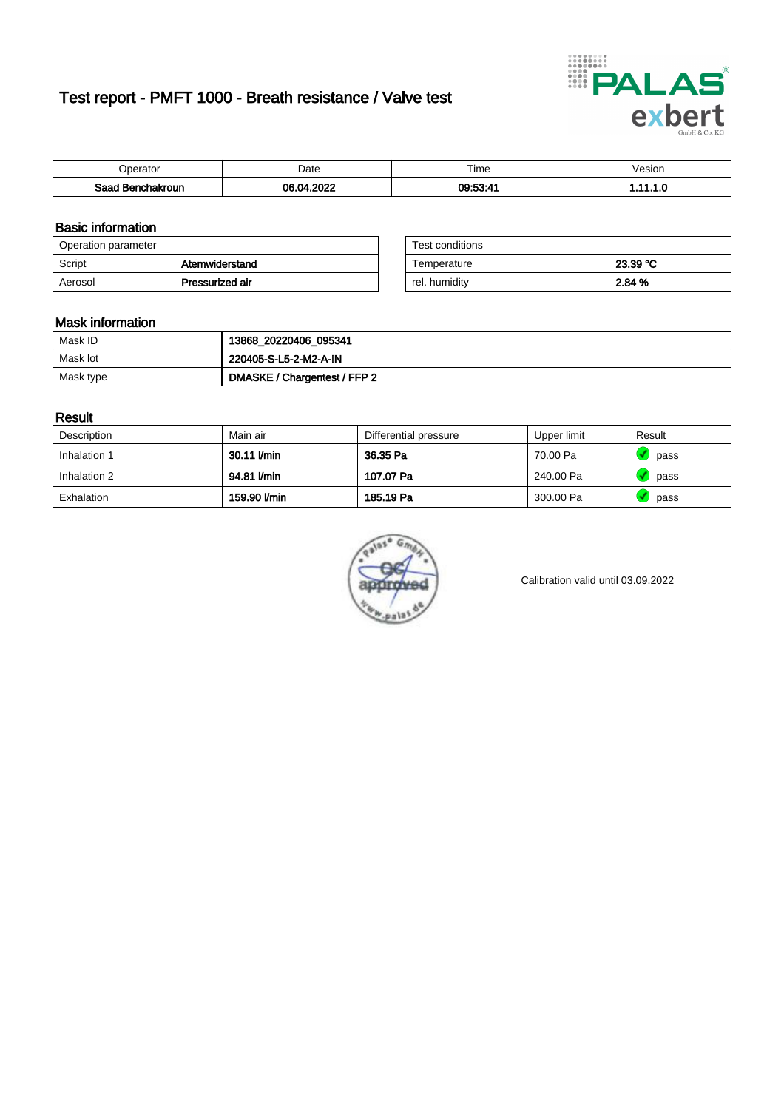# Test report - PMFT 1000 - Breath resistance / Valve test



| <b>'</b> perator                | Date       | $- \cdot$<br><b>Time</b> | esion |
|---------------------------------|------------|--------------------------|-------|
| Saad<br><b>\chakroun</b><br>. . | 0000<br>በና | 00.59.4                  | .     |

### Basic information

| Operation parameter |                 | Test conditions |          |
|---------------------|-----------------|-----------------|----------|
| Script              | Atemwiderstand  | Temperature     | 23.39 °C |
| Aerosol             | Pressurized air | rel. humidity   | 2.84 %   |

| Test conditions |          |
|-----------------|----------|
| Temperature     | 23.39 °C |
| rel. humidity   | 2.84 %   |

### Mask information

| Mask ID   | 13868_20220406_095341        |
|-----------|------------------------------|
| Mask lot  | 220405-S-L5-2-M2-A-IN        |
| Mask type | DMASKE / Chargentest / FFP 2 |

### Result

| Description  | Main air     | Differential pressure | Upper limit | Result |
|--------------|--------------|-----------------------|-------------|--------|
| Inhalation 1 | 30.11 l/min  | 36.35 Pa              | 70.00 Pa    | pass   |
| Inhalation 2 | 94.81 I/min  | 107.07 Pa             | 240.00 Pa   | pass   |
| Exhalation   | 159.90 l/min | 185.19 Pa             | 300.00 Pa   | pass   |



Calibration valid until 03.09.2022